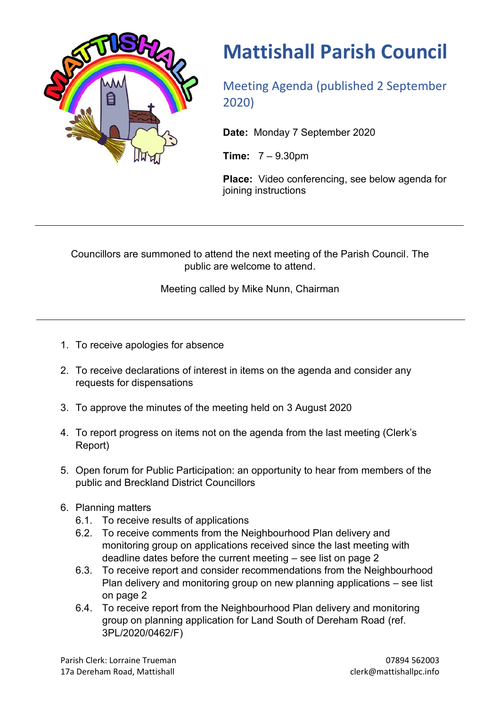

## **Mattishall Parish Council**

Meeting Agenda (published 2 September 2020)

**Date:** Monday 7 September 2020

**Time:** 7 – 9.30pm

**Place:** Video conferencing, see below agenda for joining instructions

Councillors are summoned to attend the next meeting of the Parish Council. The public are welcome to attend.

Meeting called by Mike Nunn, Chairman

- 1. To receive apologies for absence
- 2. To receive declarations of interest in items on the agenda and consider any requests for dispensations
- 3. To approve the minutes of the meeting held on 3 August 2020
- 4. To report progress on items not on the agenda from the last meeting (Clerk's Report)
- 5. Open forum for Public Participation: an opportunity to hear from members of the public and Breckland District Councillors
- 6. Planning matters
	- 6.1. To receive results of applications
	- 6.2. To receive comments from the Neighbourhood Plan delivery and monitoring group on applications received since the last meeting with deadline dates before the current meeting – see list on page 2
	- 6.3. To receive report and consider recommendations from the Neighbourhood Plan delivery and monitoring group on new planning applications – see list on page 2
	- 6.4. To receive report from the Neighbourhood Plan delivery and monitoring group on planning application for Land South of Dereham Road (ref. 3PL/2020/0462/F)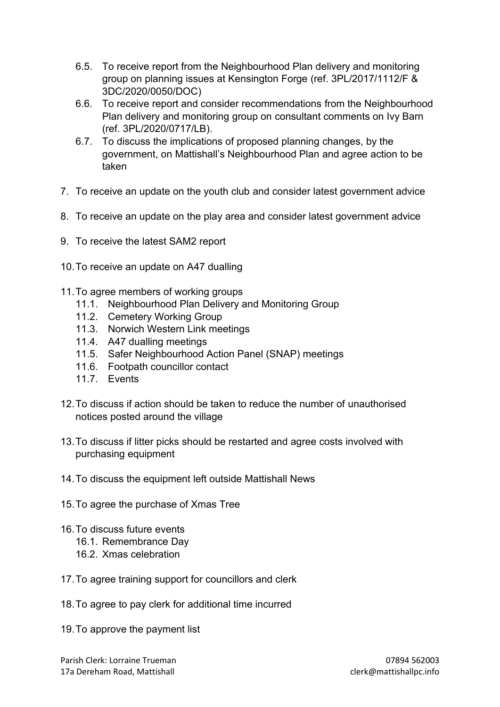- 6.5. To receive report from the Neighbourhood Plan delivery and monitoring group on planning issues at Kensington Forge (ref. 3PL/2017/1112/F & 3DC/2020/0050/DOC)
- 6.6. To receive report and consider recommendations from the Neighbourhood Plan delivery and monitoring group on consultant comments on Ivy Barn (ref. 3PL/2020/0717/LB).
- 6.7. To discuss the implications of proposed planning changes, by the government, on Mattishall's Neighbourhood Plan and agree action to be taken
- 7. To receive an update on the youth club and consider latest government advice
- 8. To receive an update on the play area and consider latest government advice
- 9. To receive the latest SAM2 report
- 10.To receive an update on A47 dualling
- 11.To agree members of working groups
	- 11.1. Neighbourhood Plan Delivery and Monitoring Group
	- 11.2. Cemetery Working Group
	- 11.3. Norwich Western Link meetings
	- 11.4. A47 dualling meetings
	- 11.5. Safer Neighbourhood Action Panel (SNAP) meetings
	- 11.6. Footpath councillor contact
	- 11.7. Events
- 12.To discuss if action should be taken to reduce the number of unauthorised notices posted around the village
- 13.To discuss if litter picks should be restarted and agree costs involved with purchasing equipment
- 14.To discuss the equipment left outside Mattishall News
- 15.To agree the purchase of Xmas Tree
- 16.To discuss future events
	- 16.1. Remembrance Day
	- 16.2. Xmas celebration
- 17.To agree training support for councillors and clerk
- 18.To agree to pay clerk for additional time incurred
- 19.To approve the payment list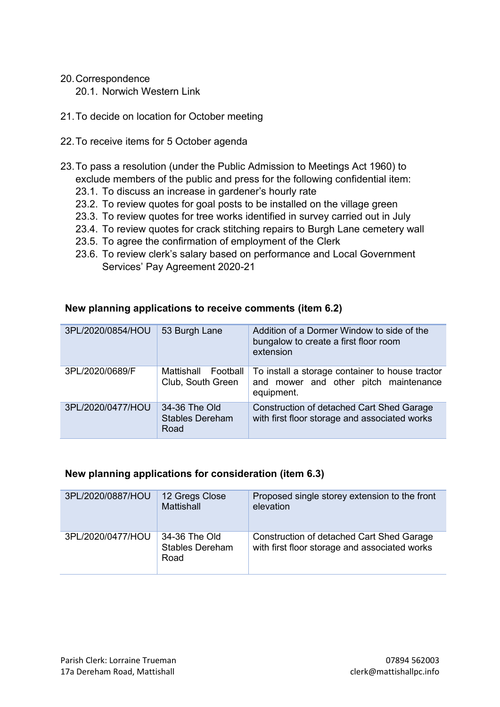- 20.Correspondence 20.1. Norwich Western Link
- 21.To decide on location for October meeting
- 22.To receive items for 5 October agenda
- 23.To pass a resolution (under the Public Admission to Meetings Act 1960) to exclude members of the public and press for the following confidential item:
	- 23.1. To discuss an increase in gardener's hourly rate
	- 23.2. To review quotes for goal posts to be installed on the village green
	- 23.3. To review quotes for tree works identified in survey carried out in July
	- 23.4. To review quotes for crack stitching repairs to Burgh Lane cemetery wall
	- 23.5. To agree the confirmation of employment of the Clerk
	- 23.6. To review clerk's salary based on performance and Local Government Services' Pay Agreement 2020-21

| 3PL/2020/0854/HOU | 53 Burgh Lane                                   | Addition of a Dormer Window to side of the<br>bungalow to create a first floor room<br>extension       |
|-------------------|-------------------------------------------------|--------------------------------------------------------------------------------------------------------|
| 3PL/2020/0689/F   | Mattishall Football<br>Club, South Green        | To install a storage container to house tractor<br>and mower and other pitch maintenance<br>equipment. |
| 3PL/2020/0477/HOU | 34-36 The Old<br><b>Stables Dereham</b><br>Road | <b>Construction of detached Cart Shed Garage</b><br>with first floor storage and associated works      |

## **New planning applications to receive comments (item 6.2)**

## **New planning applications for consideration (item 6.3)**

| 3PL/2020/0887/HOU | 12 Gregs Close<br>Mattishall                    | Proposed single storey extension to the front<br>elevation                                        |
|-------------------|-------------------------------------------------|---------------------------------------------------------------------------------------------------|
| 3PL/2020/0477/HOU | 34-36 The Old<br><b>Stables Dereham</b><br>Road | <b>Construction of detached Cart Shed Garage</b><br>with first floor storage and associated works |